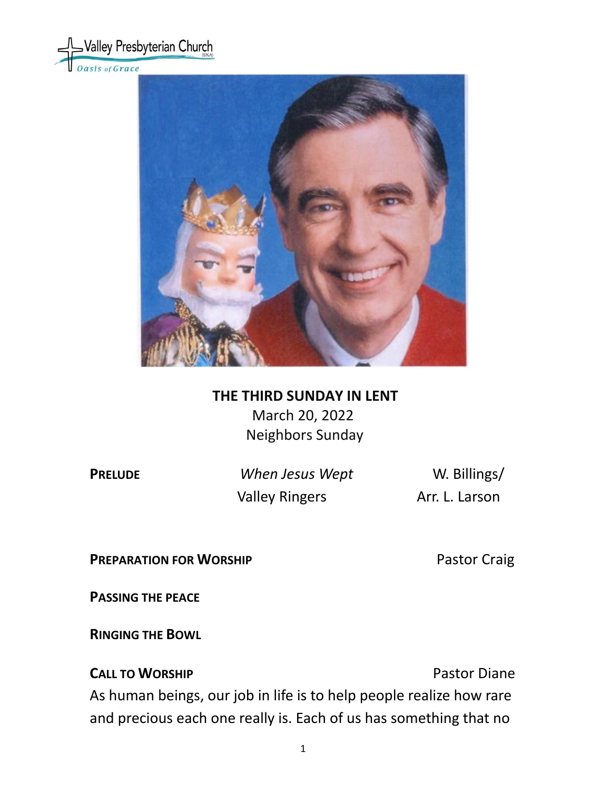



# **THE THIRD SUNDAY IN LENT** March 20, 2022 Neighbors Sunday

**PRELUDE** *When Jesus Wept* W. Billings/ Valley Ringers **Arr. L. Larson** 

**PREPARATION FOR WORSHIP** Pastor Craig

**PASSING THE PEACE**

**RINGING THE BOWL** 

**CALL TO WORSHIP CALL TO WORSHIP** As human beings, our job in life is to help people realize how rare and precious each one really is. Each of us has something that no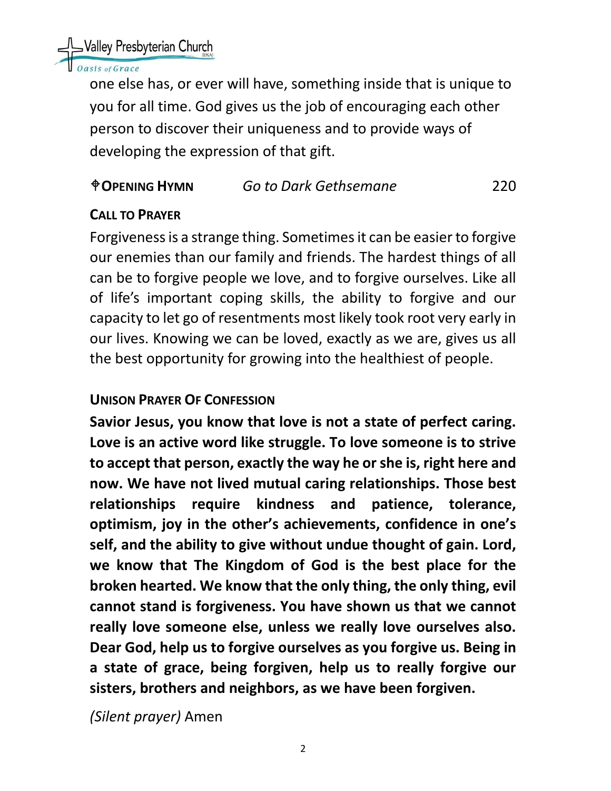

## asis of Grace

one else has, or ever will have, something inside that is unique to you for all time. God gives us the job of encouraging each other person to discover their uniqueness and to provide ways of developing the expression of that gift.

# **OPENING HYMN** *Go to Dark Gethsemane* 220

# **CALL TO PRAYER**

Forgiveness is a strange thing. Sometimes it can be easier to forgive our enemies than our family and friends. The hardest things of all can be to forgive people we love, and to forgive ourselves. Like all of life's important coping skills, the ability to forgive and our capacity to let go of resentments most likely took root very early in our lives. Knowing we can be loved, exactly as we are, gives us all the best opportunity for growing into the healthiest of people.

## **UNISON PRAYER OF CONFESSION**

**Savior Jesus, you know that love is not a state of perfect caring. Love is an active word like struggle. To love someone is to strive to accept that person, exactly the way he or she is, right here and now. We have not lived mutual caring relationships. Those best relationships require kindness and patience, tolerance, optimism, joy in the other's achievements, confidence in one's self, and the ability to give without undue thought of gain. Lord, we know that The Kingdom of God is the best place for the broken hearted. We know that the only thing, the only thing, evil cannot stand is forgiveness. You have shown us that we cannot really love someone else, unless we really love ourselves also. Dear God, help us to forgive ourselves as you forgive us. Being in a state of grace, being forgiven, help us to really forgive our sisters, brothers and neighbors, as we have been forgiven.** 

*(Silent prayer)* Amen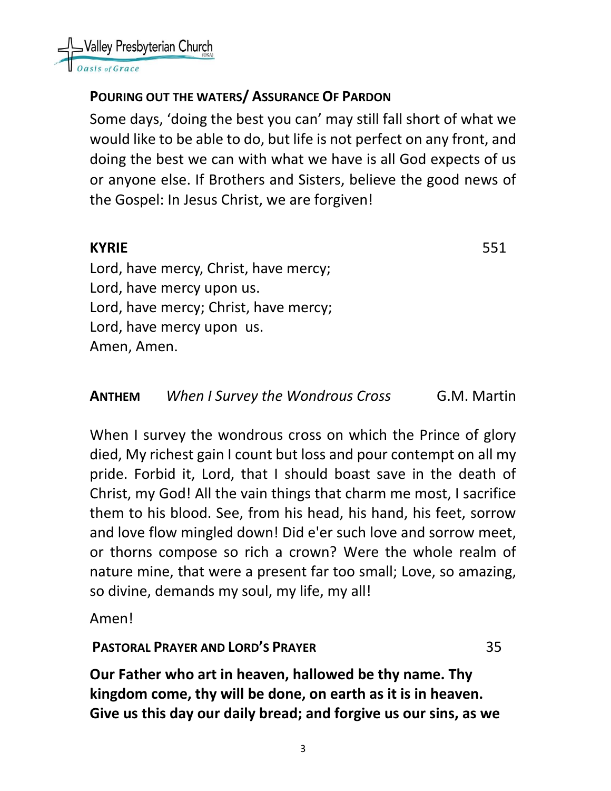

# **POURING OUT THE WATERS/ ASSURANCE OF PARDON**

Some days, 'doing the best you can' may still fall short of what we would like to be able to do, but life is not perfect on any front, and doing the best we can with what we have is all God expects of us or anyone else. If Brothers and Sisters, believe the good news of the Gospel: In Jesus Christ, we are forgiven!

## **KYRIE** 551

Lord, have mercy, Christ, have mercy; Lord, have mercy upon us. Lord, have mercy; Christ, have mercy; Lord, have mercy upon us. Amen, Amen.

### **ANTHEM** *When I Survey the Wondrous Cross*G.M. Martin

When I survey the wondrous cross on which the Prince of glory died, My richest gain I count but loss and pour contempt on all my pride. Forbid it, Lord, that I should boast save in the death of Christ, my God! All the vain things that charm me most, I sacrifice them to his blood. See, from his head, his hand, his feet, sorrow and love flow mingled down! Did e'er such love and sorrow meet, or thorns compose so rich a crown? Were the whole realm of nature mine, that were a present far too small; Love, so amazing, so divine, demands my soul, my life, my all!

Amen!

## **PASTORAL PRAYER AND LORD'S PRAYER** 35

**Our Father who art in heaven, hallowed be thy name. Thy kingdom come, thy will be done, on earth as it is in heaven. Give us this day our daily bread; and forgive us our sins, as we**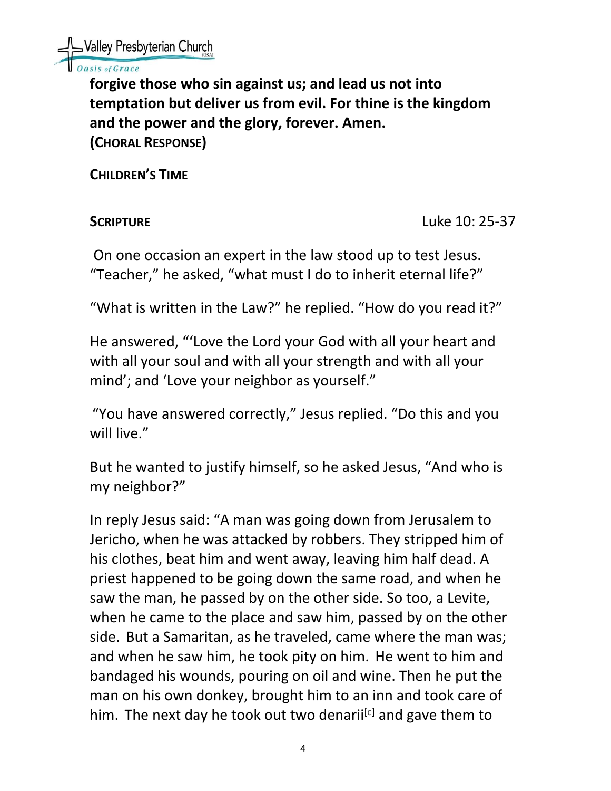

## sis of Grace

**forgive those who sin against us; and lead us not into temptation but deliver us from evil. For thine is the kingdom and the power and the glory, forever. Amen. (CHORAL RESPONSE)**

**CHILDREN'S TIME** 

**SCRIPTURE Luke 10: 25-37** 

On one occasion an expert in the law stood up to test Jesus. "Teacher," he asked, "what must I do to inherit eternal life?"

"What is written in the Law?" he replied. "How do you read it?"

He answered, "'Love the Lord your God with all your heart and with all your soul and with all your strength and with all your mind'; and 'Love your neighbor as yourself."

"You have answered correctly," Jesus replied. "Do this and you will live."

But he wanted to justify himself, so he asked Jesus, "And who is my neighbor?"

In reply Jesus said: "A man was going down from Jerusalem to Jericho, when he was attacked by robbers. They stripped him of his clothes, beat him and went away, leaving him half dead. A priest happened to be going down the same road, and when he saw the man, he passed by on the other side. So too, a Levite, when he came to the place and saw him, passed by on the other side. But a Samaritan, as he traveled, came where the man was; and when he saw him, he took pity on him. He went to him and bandaged his wounds, pouring on oil and wine. Then he put the man on his own donkey, brought him to an inn and took care of him. The next day he took out two denarij<sup>cl</sup> and gave them to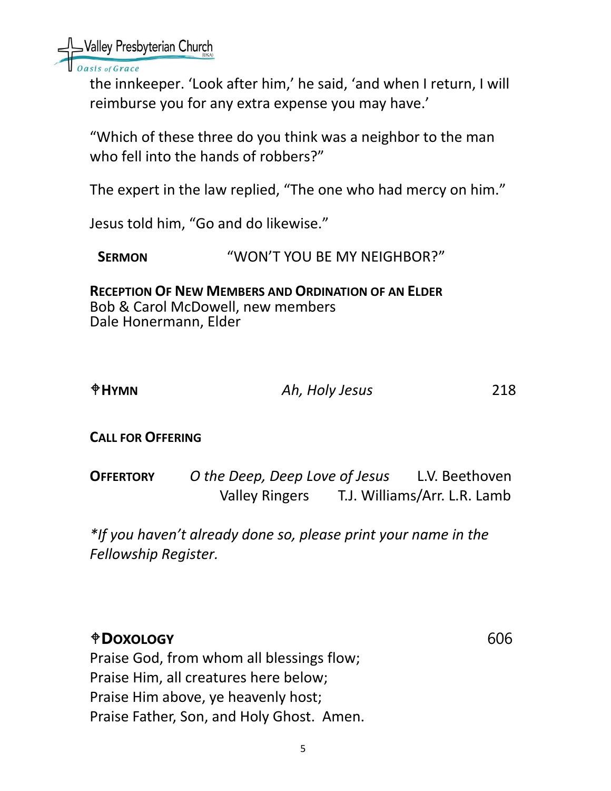Nalley Presbyterian Church

asis of Grace

the innkeeper. 'Look after him,' he said, 'and when I return, I will reimburse you for any extra expense you may have.'

"Which of these three do you think was a neighbor to the man who fell into the hands of robbers?"

The expert in the law replied, "The one who had mercy on him."

Jesus told him, "Go and do likewise."

SERMON **WON'T YOU BE MY NEIGHBOR?"** 

**RECEPTION OF NEW MEMBERS AND ORDINATION OF AN ELDER** Bob & Carol McDowell, new members Dale Honermann, Elder

| $\biguplus$ HYMN | Ah, Holy Jesus | 218 |
|------------------|----------------|-----|
|                  |                |     |

**CALL FOR OFFERING**

**OFFERTORY** *O the Deep, Deep Love of Jesus*L.V. Beethoven Valley Ringers T.J. Williams/Arr. L.R. Lamb

*\*If you haven't already done so, please print your name in the Fellowship Register.*

# **DOXOLOGY** 606 Praise God, from whom all blessings flow; Praise Him, all creatures here below; Praise Him above, ye heavenly host; Praise Father, Son, and Holy Ghost. Amen.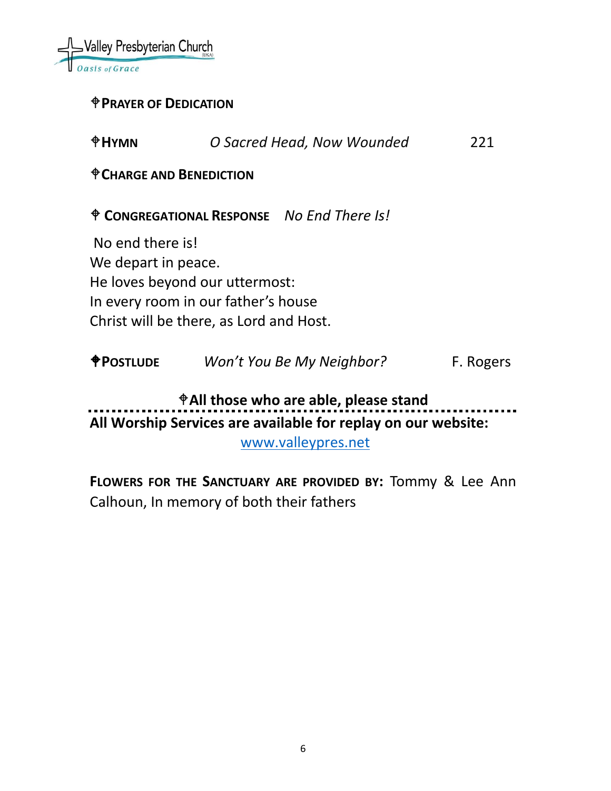

## **PRAYER OF DEDICATION**

| $\oplus$ HYMN                                           | O Sacred Head, Now Wounded                                               | 221       |
|---------------------------------------------------------|--------------------------------------------------------------------------|-----------|
| <sup><math>\bigcirc</math></sup> CHARGE AND BENEDICTION |                                                                          |           |
|                                                         | <sup><math>\dagger</math></sup> CONGREGATIONAL RESPONSE No End There Is! |           |
| No end there is!                                        |                                                                          |           |
| We depart in peace.                                     |                                                                          |           |
|                                                         | He loves beyond our uttermost:                                           |           |
|                                                         | In every room in our father's house                                      |           |
|                                                         | Christ will be there, as Lord and Host.                                  |           |
|                                                         |                                                                          |           |
| <b><i><u>OPOSTLUDE</u></i></b>                          | Won't You Be My Neighbor?                                                | F. Rogers |

**All those who are able, please stand** . . . . **All Worship Services are available for replay on our website:** 

[www.valleypres.net](http://www.valleypres.net/)

**FLOWERS FOR THE SANCTUARY ARE PROVIDED BY:** Tommy & Lee Ann Calhoun, In memory of both their fathers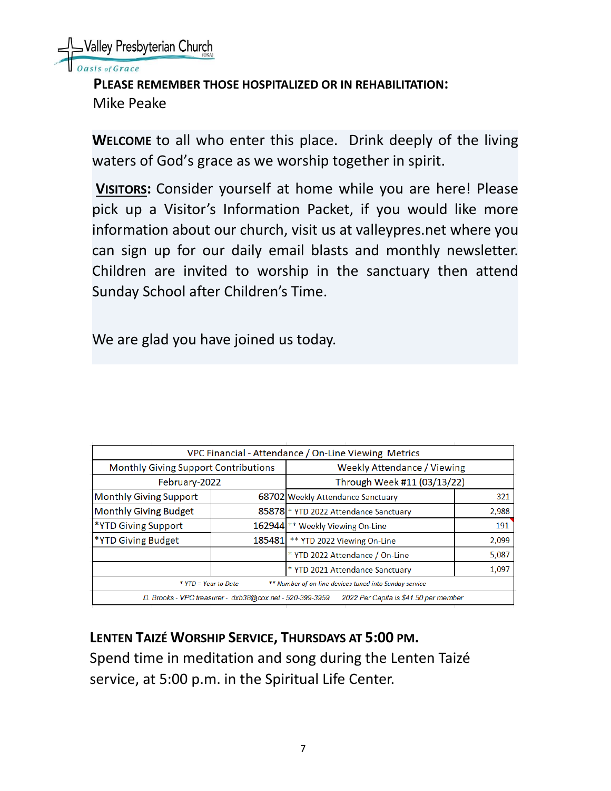

**PLEASE REMEMBER THOSE HOSPITALIZED OR IN REHABILITATION:** Mike Peake

**WELCOME** to all who enter this place. Drink deeply of the living waters of God's grace as we worship together in spirit.

**VISITORS:** Consider yourself at home while you are here! Please pick up a Visitor's Information Packet, if you would like more information about our church, visit us at valleypres.net where you can sign up for our daily email blasts and monthly newsletter. Children are invited to worship in the sanctuary then attend Sunday School after Children's Time.

We are glad you have joined us today.

| VPC Financial - Attendance / On-Line Viewing Metrics                                              |        |                                       |       |  |  |  |
|---------------------------------------------------------------------------------------------------|--------|---------------------------------------|-------|--|--|--|
| <b>Monthly Giving Support Contributions</b>                                                       |        | <b>Weekly Attendance / Viewing</b>    |       |  |  |  |
| February-2022                                                                                     |        | Through Week #11 (03/13/22)           |       |  |  |  |
| <b>Monthly Giving Support</b>                                                                     |        | 68702 Weekly Attendance Sanctuary     | 321   |  |  |  |
| <b>Monthly Giving Budget</b>                                                                      |        | 85878 * YTD 2022 Attendance Sanctuary | 2,988 |  |  |  |
| *YTD Giving Support                                                                               |        | 162944 ** Weekly Viewing On-Line      | 191   |  |  |  |
| *YTD Giving Budget                                                                                | 185481 | ** YTD 2022 Viewing On-Line           | 2,099 |  |  |  |
|                                                                                                   |        | * YTD 2022 Attendance / On-Line       | 5,087 |  |  |  |
|                                                                                                   |        | * YTD 2021 Attendance Sanctuary       | 1,097 |  |  |  |
| ** Number of on-line devices tuned into Sunday service<br>* YTD = Year to Date                    |        |                                       |       |  |  |  |
| D. Brooks - VPC treasurer - dxb38@cox.net - 520-399-3959<br>2022 Per Capita is \$41.50 per member |        |                                       |       |  |  |  |
|                                                                                                   |        |                                       |       |  |  |  |

**LENTEN TAIZÉ WORSHIP SERVICE, THURSDAYS AT 5:00 PM.** Spend time in meditation and song during the Lenten Taizé service, at 5:00 p.m. in the Spiritual Life Center.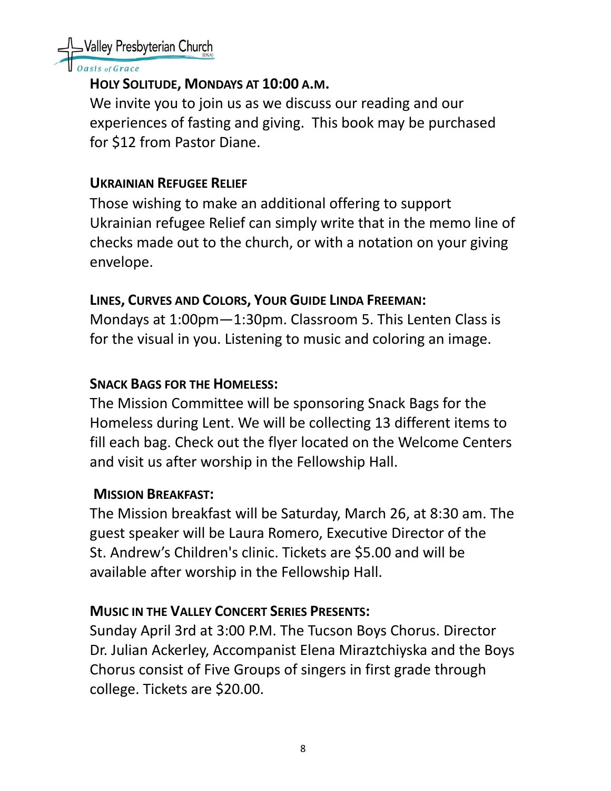

asis of Grace

# **HOLY SOLITUDE, MONDAYS AT 10:00 A.M.**

We invite you to join us as we discuss our reading and our experiences of fasting and giving. This book may be purchased for \$12 from Pastor Diane.

# **UKRAINIAN REFUGEE RELIEF**

Those wishing to make an additional offering to support Ukrainian refugee Relief can simply write that in the memo line of checks made out to the church, or with a notation on your giving envelope.

# **LINES, CURVES AND COLORS, YOUR GUIDE LINDA FREEMAN:**

Mondays at 1:00pm—1:30pm. Classroom 5. This Lenten Class is for the visual in you. Listening to music and coloring an image.

# **SNACK BAGS FOR THE HOMELESS:**

The Mission Committee will be sponsoring Snack Bags for the Homeless during Lent. We will be collecting 13 different items to fill each bag. Check out the flyer located on the Welcome Centers and visit us after worship in the Fellowship Hall.

## **MISSION BREAKFAST:**

The Mission breakfast will be Saturday, March 26, at 8:30 am. The guest speaker will be Laura Romero, Executive Director of the St. Andrew's Children's clinic. Tickets are \$5.00 and will be available after worship in the Fellowship Hall.

# **MUSIC IN THE VALLEY CONCERT SERIES PRESENTS:**

Sunday April 3rd at 3:00 P.M. The Tucson Boys Chorus. Director Dr. Julian Ackerley, Accompanist Elena Miraztchiyska and the Boys Chorus consist of Five Groups of singers in first grade through college. Tickets are \$20.00.